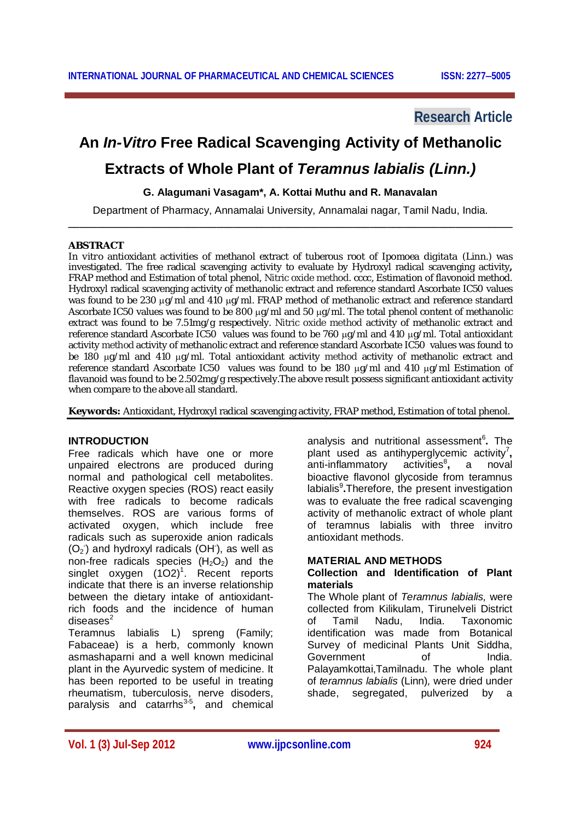# **Research Article**

# **An** *In-Vitro* **Free Radical Scavenging Activity of Methanolic**

# **Extracts of Whole Plant of** *Teramnus labialis (Linn.)*

# **G. Alagumani Vasagam\*, A. Kottai Muthu and R. Manavalan**

Department of Pharmacy, Annamalai University, Annamalai nagar, Tamil Nadu, India. **\_\_\_\_\_\_\_\_\_\_\_\_\_\_\_\_\_\_\_\_\_\_\_\_\_\_\_\_\_\_\_\_\_\_\_\_\_\_\_\_\_\_\_\_\_\_\_\_\_\_\_\_\_\_\_\_\_\_\_\_\_\_\_\_\_\_\_\_\_\_\_\_\_\_\_\_\_\_**

#### **ABSTRACT**

*In vitro* antioxidant activities of methanol extract of tuberous root of *Ipomoea digitata* (Linn.) was investigated. The free radical scavenging activity to evaluate by Hydroxyl radical scavenging activity**,**  FRAP method and Estimation of total phenol, Nitric oxide method. cccc, Estimation of flavonoid method. Hydroxyl radical scavenging activity of methanolic extract and reference standard Ascorbate IC50 values was found to be 230 µq/ml and 410 µq/ml. FRAP method of methanolic extract and reference standard Ascorbate IC50 values was found to be 800  $\mu$ g/ml and 50  $\mu$ g/ml. The total phenol content of methanolic extract was found to be 7.51mg/g respectively. Nitric oxide method activity of methanolic extract and reference standard Ascorbate IC50 values was found to be 760 µg/ml and 410 µg/ml. Total antioxidant activity method activity of methanolic extract and reference standard Ascorbate IC50 values was found to be 180 µg/ml and 410 µg/ml. Total antioxidant activity method activity of methanolic extract and reference standard Ascorbate IC50 values was found to be 180  $\mu$ g/ml and 410  $\mu$ g/ml Estimation of flavanoid was found to be 2.502mg/g respectively.The above result possess significant antioxidant activity when compare to the above all standard.

**Keywords:** Antioxidant, Hydroxyl radical scavenging activity, FRAP method, Estimation of total phenol.

# **INTRODUCTION**

Free radicals which have one or more unpaired electrons are produced during normal and pathological cell metabolites. Reactive oxygen species (ROS) react easily with free radicals to become radicals themselves. ROS are various forms of activated oxygen, which include free radicals such as superoxide anion radicals  $(O<sub>2</sub>)$  and hydroxyl radicals  $(OH)$ , as well as non-free radicals species  $(H<sub>2</sub>O<sub>2</sub>)$  and the singlet oxygen  $(102)^1$ . Recent reports indicate that there is an inverse relationship between the dietary intake of antioxidantrich foods and the incidence of human  $discases<sup>2</sup>$ 

Teramnus labialis L) spreng (Family; Fabaceae) is a herb, commonly known asmashaparni and a well known medicinal plant in the Ayurvedic system of medicine. It has been reported to be useful in treating rheumatism, tuberculosis, nerve disoders, paralysis and catarrhs<sup>3-5</sup>, and chemical

analysis and nutritional assessment<sup>6</sup>. The plant used as antihyperglycemic activity<sup>7</sup>, anti-inflammatory activities<sup>8</sup>, a noval bioactive flavonol glycoside from teramnus labialis<sup>9</sup>.Therefore, the present investigation was to evaluate the free radical scavenging activity of methanolic extract of whole plant of teramnus labialis with three invitro antioxidant methods.

# **MATERIAL AND METHODS**

# **Collection and Identification of Plant materials**

The Whole plant of *Teramnus labialis,* were collected from Kilikulam, Tirunelveli District of Tamil Nadu, India. Taxonomic identification was made from Botanical Survey of medicinal Plants Unit Siddha, Government of India. Palayamkottai,Tamilnadu. The whole plant of *teramnus labialis* (Linn)*,* were dried under shade, segregated, pulverized by a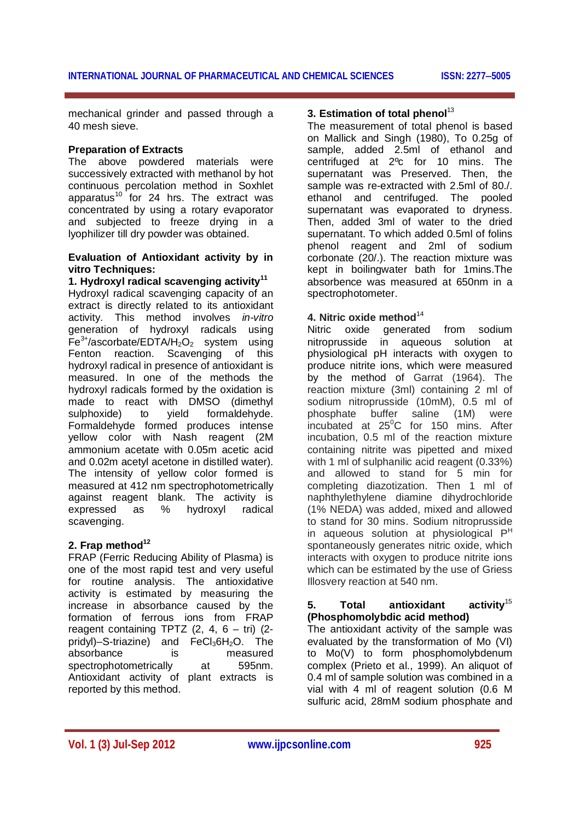mechanical grinder and passed through a 40 mesh sieve.

# **Preparation of Extracts**

The above powdered materials were successively extracted with methanol by hot continuous percolation method in Soxhlet apparatus<sup>10</sup> for 24 hrs. The extract was concentrated by using a rotary evaporator and subjected to freeze drying in a lyophilizer till dry powder was obtained.

# **Evaluation of Antioxidant activity by in vitro Techniques:**

**1. Hydroxyl radical scavenging activity<sup>11</sup>** Hydroxyl radical scavenging capacity of an extract is directly related to its antioxidant activity. This method involves *in-vitro*  generation of hydroxyl radicals using  $Fe<sup>3+</sup>/ascorbate/EDTA/H<sub>2</sub>O<sub>2</sub>$  system using Fenton reaction. Scavenging of this hydroxyl radical in presence of antioxidant is measured. In one of the methods the hydroxyl radicals formed by the oxidation is made to react with DMSO (dimethyl sulphoxide) to yield formaldehyde. Formaldehyde formed produces intense yellow color with Nash reagent (2M ammonium acetate with 0.05m acetic acid and 0.02m acetyl acetone in distilled water). The intensity of yellow color formed is measured at 412 nm spectrophotometrically against reagent blank. The activity is expressed as % hydroxyl radical scavenging.

# **2. Frap method<sup>12</sup>**

FRAP (Ferric Reducing Ability of Plasma) is one of the most rapid test and very useful for routine analysis. The antioxidative activity is estimated by measuring the increase in absorbance caused by the formation of ferrous ions from FRAP reagent containing TPTZ  $(2, 4, 6 - \text{tri})$   $(2$ pridyl)–S-triazine) and  $FeCl<sub>3</sub>6H<sub>2</sub>O$ . The absorbance is measured spectrophotometrically at 595nm. Antioxidant activity of plant extracts is reported by this method.

# **3. Estimation of total phenol**<sup>13</sup>

The measurement of total phenol is based on Mallick and Singh (1980), To 0.25g of sample, added 2.5ml of ethanol and centrifuged at 2ºc for 10 mins. The supernatant was Preserved. Then, the sample was re-extracted with 2.5ml of 80./. ethanol and centrifuged. The pooled supernatant was evaporated to dryness. Then, added 3ml of water to the dried supernatant. To which added 0.5ml of folins phenol reagent and 2ml of sodium corbonate (20/.). The reaction mixture was kept in boilingwater bath for 1mins.The absorbence was measured at 650nm in a spectrophotometer.

# **4. Nitric oxide method**<sup>14</sup>

Nitric oxide generated from sodium nitroprusside in aqueous solution at physiological pH interacts with oxygen to produce nitrite ions, which were measured by the method of Garrat (1964). The reaction mixture (3ml) containing 2 ml of sodium nitroprusside (10mM), 0.5 ml of phosphate buffer saline (1M) were  $incubated$  at 25 $\mathrm{^0C}$  for 150 mins. After incubation, 0.5 ml of the reaction mixture containing nitrite was pipetted and mixed with 1 ml of sulphanilic acid reagent (0.33%) and allowed to stand for 5 min for completing diazotization. Then 1 ml of naphthylethylene diamine dihydrochloride (1% NEDA) was added, mixed and allowed to stand for 30 mins. Sodium nitroprusside in aqueous solution at physiological  $P<sup>H</sup>$ spontaneously generates nitric oxide, which interacts with oxygen to produce nitrite ions which can be estimated by the use of Griess Illosvery reaction at 540 nm.

# **5. Total antioxidant activity**<sup>15</sup> **(Phosphomolybdic acid method)**

The antioxidant activity of the sample was evaluated by the transformation of Mo (VI) to Mo(V) to form phosphomolybdenum complex (Prieto et al., 1999). An aliquot of 0.4 ml of sample solution was combined in a vial with 4 ml of reagent solution (0.6 M sulfuric acid, 28mM sodium phosphate and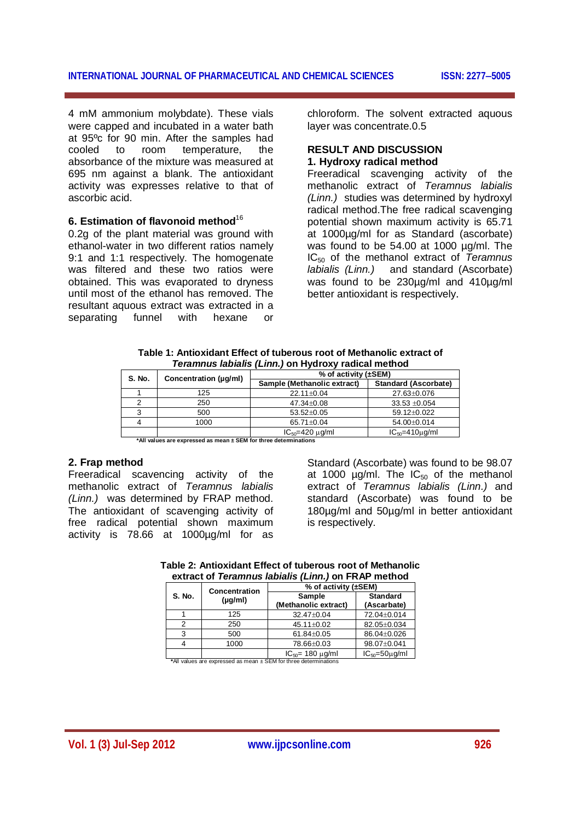4 mM ammonium molybdate). These vials were capped and incubated in a water bath at 95°c for 90 min. After the samples had cooled to room temperature, the to room temperature, the absorbance of the mixture was measured at 695 nm against a blank. The antioxidant activity was expresses relative to that of ascorbic acid.

# **6. Estimation of flavonoid method**<sup>16</sup>

0.2g of the plant material was ground with ethanol-water in two different ratios namely 9:1 and 1:1 respectively. The homogenate was filtered and these two ratios were obtained. This was evaporated to dryness until most of the ethanol has removed. The resultant aquous extract was extracted in a separating funnel with hexane or

chloroform. The solvent extracted aquous layer was concentrate.0.5

# **RESULT AND DISCUSSION 1. Hydroxy radical method**

Freeradical scavenging activity of the methanolic extract of *Teramnus labialis (Linn.)* studies was determined by hydroxyl radical method.The free radical scavenging potential shown maximum activity is 65.71 at 1000µg/ml for as Standard (ascorbate) was found to be 54.00 at 1000 µg/ml. The IC<sup>50</sup> of the methanol extract of *Teramnus labialis (Linn.)* and standard (Ascorbate) was found to be 230µg/ml and 410µg/ml better antioxidant is respectively.

| S. No. | Concentration (ug/ml) | % of activity $(\pm$ SEM)   |                             |
|--------|-----------------------|-----------------------------|-----------------------------|
|        |                       | Sample (Methanolic extract) | <b>Standard (Ascorbate)</b> |
|        | 125                   | 22.11±0.04                  | 27.63±0.076                 |
|        | 250                   | 47.34±0.08                  | $33.53 + 0.054$             |
|        | 500                   | $53.52 \pm 0.05$            | 59.12±0.022                 |
|        | 1000                  | 65.71±0.04                  | 54.00±0.014                 |
|        |                       | $IC_{50} = 420 \mu g/ml$    | $IC_{50} = 410 \mu g/ml$    |

**Table 1: Antioxidant Effect of tuberous root of Methanolic extract of**  *Teramnus labialis (Linn.)* **on Hydroxy radical method**

**\*All values are expressed as mean ± SEM for three determinations**

# **2. Frap method**

Freeradical scavencing activity of the methanolic extract of *Teramnus labialis (Linn.)* was determined by FRAP method. The antioxidant of scavenging activity of free radical potential shown maximum activity is 78.66 at 1000µg/ml for as

Standard (Ascorbate) was found to be 98.07 at 1000  $\mu$ g/ml. The IC<sub>50</sub> of the methanol extract of *Teramnus labialis (Linn.)* and standard (Ascorbate) was found to be 180µg/ml and 50µg/ml in better antioxidant is respectively.

| Table 2: Antioxidant Effect of tuberous root of Methanolic |
|------------------------------------------------------------|
| extract of Teramnus labialis (Linn.) on FRAP method        |

|        | Concentration<br>$(\mu g/ml)$ | % of activity (±SEM)       |                 |  |
|--------|-------------------------------|----------------------------|-----------------|--|
| S. No. |                               | <b>Sample</b>              | <b>Standard</b> |  |
|        |                               | (Methanolic extract)       | (Ascarbate)     |  |
|        | 125                           | 32.47±0.04                 | 72.04±0.014     |  |
| っ      | 250                           | 45.11±0.02                 | 82.05±0.034     |  |
| 3      | 500                           | 61.84±0.05                 | 86.04±0.026     |  |
|        | 1000                          | 78.66±0.03                 | 98.07±0.041     |  |
|        |                               | $IC_{50}$ = 180 $\mu$ g/ml | $IC50=50µq/ml$  |  |

**\***All values are expressed as mean ± SEM for three determinations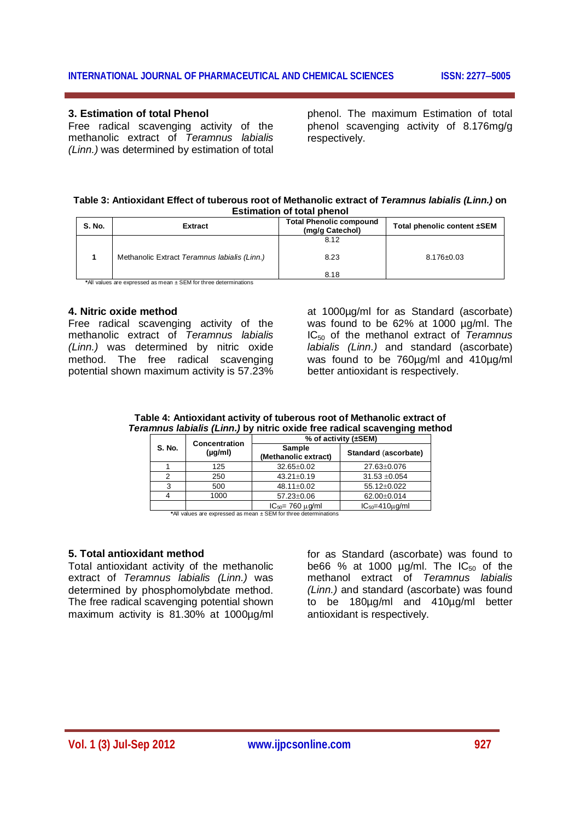#### **3. Estimation of total Phenol**

Free radical scavenging activity of the methanolic extract of *Teramnus labialis (Linn.)* was determined by estimation of total phenol. The maximum Estimation of total phenol scavenging activity of 8.176mg/g respectively.

#### **Table 3: Antioxidant Effect of tuberous root of Methanolic extract of** *Teramnus labialis (Linn.)* **on Estimation of total phenol**

| S. No.                                                           | <b>Extract</b>                               | <b>Total Phenolic compound</b><br>(mg/g Catechol) | Total phenolic content ±SEM |  |
|------------------------------------------------------------------|----------------------------------------------|---------------------------------------------------|-----------------------------|--|
|                                                                  |                                              | 8.12                                              |                             |  |
|                                                                  | Methanolic Extract Teramnus labialis (Linn.) | 8.23<br>8.18                                      | $8.176 \pm 0.03$            |  |
| *All values are expressed as mean ± SEM for three determinations |                                              |                                                   |                             |  |

# **4. Nitric oxide method**

Free radical scavenging activity of the methanolic extract of *Teramnus labialis (Linn.)* was determined by nitric oxide method. The free radical scavenging potential shown maximum activity is 57.23%

at 1000µg/ml for as Standard (ascorbate) was found to be 62% at 1000 µg/ml. The IC<sup>50</sup> of the methanol extract of *Teramnus labialis (Linn.)* and standard (ascorbate) was found to be 760µg/ml and 410µg/ml better antioxidant is respectively.

|        |                              | % of activity $(\pm$ SEM)             |                      |
|--------|------------------------------|---------------------------------------|----------------------|
| S. No. | Concentration<br>$(\mu q/m)$ | <b>Sample</b><br>(Methanolic extract) | Standard (ascorbate) |
|        | 125                          | $32.65 \pm 0.02$                      | 27.63±0.076          |
|        | 250                          | $43.21 \pm 0.19$                      | $31.53 + 0.054$      |
|        | 500                          | 48.11±0.02                            | 55.12±0.022          |
|        | 1000                         | 57.23±0.06                            | 62.00±0.014          |

 $1000$   $57.23 \pm 0.06$   $62.00 \pm 0.014$ 

#### **Table 4: Antioxidant activity of tuberous root of Methanolic extract of**  *Teramnus labialis (Linn.)* **by nitric oxide free radical scavenging method**

 $IC_{50} = 760 \mu g/ml$   $IC_{50} = 410 \mu g/ml$ **\***All values are expressed as mean ± SEM for three determinations

#### **5. Total antioxidant method**

Total antioxidant activity of the methanolic extract of *Teramnus labialis (Linn.)* was determined by phosphomolybdate method. The free radical scavenging potential shown maximum activity is 81.30% at 1000µg/ml

for as Standard (ascorbate) was found to be66 % at 1000  $\mu$ g/ml. The IC<sub>50</sub> of the methanol extract of *Teramnus labialis (Linn.)* and standard (ascorbate) was found to be 180µg/ml and 410µg/ml better antioxidant is respectively.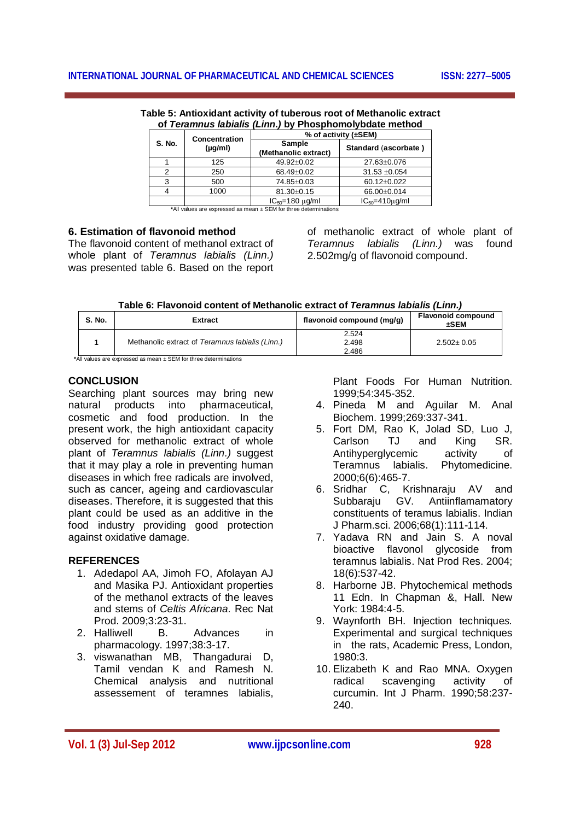|        | Concentration<br>$(\mu g/m)$ | % of activity (±SEM)           |                          |
|--------|------------------------------|--------------------------------|--------------------------|
| S. No. |                              | Sample<br>(Methanolic extract) | Standard (ascorbate)     |
|        | 125                          | 49.92±0.02                     | 27.63±0.076              |
| າ      | 250                          | 68.49±0.02                     | $31.53 + 0.054$          |
|        | 500                          | 74.85±0.03                     | 60.12±0.022              |
|        | 1000                         | 81.30±0.15                     | 66.00±0.014              |
|        |                              | $IC_{50} = 180 \mu g/ml$       | $IC_{50} = 410 \mu q/ml$ |

**Table 5: Antioxidant activity of tuberous root of Methanolic extract of** *Teramnus labialis (Linn.)* **by Phosphomolybdate method** 

**\***All values are expressed as mean ± SEM for three determinations

# **6. Estimation of flavonoid method**

The flavonoid content of methanol extract of whole plant of *Teramnus labialis (Linn.)* was presented table 6. Based on the report of methanolic extract of whole plant of *Teramnus labialis (Linn.)* was found 2.502mg/g of flavonoid compound.

|  |  | Table 6: Flavonoid content of Methanolic extract of Teramnus labialis (Linn.) |  |  |
|--|--|-------------------------------------------------------------------------------|--|--|
|--|--|-------------------------------------------------------------------------------|--|--|

| S. No. | <b>Extract</b>                                  | flavonoid compound (mg/g) | <b>Flavonoid compound</b><br>±SEM |
|--------|-------------------------------------------------|---------------------------|-----------------------------------|
|        | Methanolic extract of Teramnus labialis (Linn.) | 2.524<br>2.498<br>2.486   | $2.502 \pm 0.05$                  |

**\***All values are expressed as mean ± SEM for three determinations

# **CONCLUSION**

Searching plant sources may bring new natural products into pharmaceutical, cosmetic and food production. In the present work, the high antioxidant capacity observed for methanolic extract of whole plant of *Teramnus labialis (Linn.)* suggest that it may play a role in preventing human diseases in which free radicals are involved, such as cancer, ageing and cardiovascular diseases. Therefore, it is suggested that this plant could be used as an additive in the food industry providing good protection against oxidative damage.

# **REFERENCES**

- 1. Adedapol AA, Jimoh FO, Afolayan AJ and Masika PJ. Antioxidant properties of the methanol extracts of the leaves and stems of *Celtis Africana*. Rec Nat Prod. 2009;3:23-31.
- 2. Halliwell B. Advances in pharmacology. 1997;38:3-17.
- 3. viswanathan MB, Thangadurai D, Tamil vendan K and Ramesh N. Chemical analysis and nutritional assessement of teramnes labialis,

Plant Foods For Human Nutrition. 1999;54:345-352.

- 4. Pineda M and Aguilar M. Anal Biochem. 1999;269:337-341.
- 5. Fort DM, Rao K, Jolad SD, Luo J, Carlson Antihyperglycemic activity of Teramnus labialis. Phytomedicine. 2000;6(6):465-7.
- 6. Sridhar C, Krishnaraju AV and Subbaraju GV. Antiinflamamatory constituents of teramus labialis. Indian J Pharm.sci. 2006;68(1):111-114.
- 7. Yadava RN and Jain S. A noval bioactive flavonol glycoside from teramnus labialis. Nat Prod Res. 2004; 18(6):537-42.
- 8. Harborne JB. Phytochemical methods 11 Edn. In Chapman &, Hall. New York: 1984:4-5.
- 9. Waynforth BH. Injection technique*s.*  Experimental and surgical techniques in the rats, Academic Press, London, 1980:3.
- 10. Elizabeth K and Rao MNA. Oxygen radical scavenging activity of curcumin. Int J Pharm. 1990;58:237- 240.